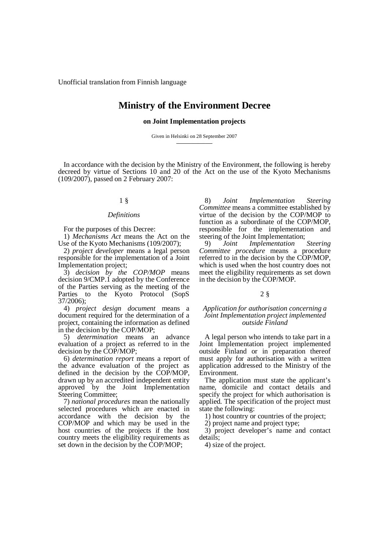Unofficial translation from Finnish language

# **Ministry of the Environment Decree**

# **on Joint Implementation projects**

Given in Helsinki on 28 September 2007 — — — — —

In accordance with the decision by the Ministry of the Environment, the following is hereby decreed by virtue of Sections 10 and 20 of the Act on the use of the Kyoto Mechanisms (109/2007), passed on 2 February 2007:

# 1 §

#### *Definitions*

For the purposes of this Decree:

1) *Mechanisms Act* means the Act on the Use of the Kyoto Mechanisms (109/2007);

2) *project developer* means a legal person responsible for the implementation of a Joint Implementation project;

3) *decision by the COP/MOP* means decision 9/CMP.1 adopted by the Conference of the Parties serving as the meeting of the Parties to the Kyoto Protocol (SopS 37/2006);

4) *project design document* means a document required for the determination of a project, containing the information as defined in the decision by the COP/MOP;

5) *determination* means an advance evaluation of a project as referred to in the decision by the COP/MOP;

6) *determination report* means a report of the advance evaluation of the project as defined in the decision by the COP/MOP, drawn up by an accredited independent entity approved by the Joint Implementation Steering Committee;

7) *national procedures* mean the nationally selected procedures which are enacted in accordance with the decision by the COP/MOP and which may be used in the host countries of the projects if the host country meets the eligibility requirements as set down in the decision by the COP/MOP;

8) *Joint Implementation Steering Committee* means a committee established by virtue of the decision by the COP/MOP to function as a subordinate of the COP/MOP, responsible for the implementation and steering of the Joint Implementation;

9) *Joint Implementation Steering Committee procedure* means a procedure referred to in the decision by the COP/MOP, which is used when the host country does not meet the eligibility requirements as set down in the decision by the COP/MOP.

## 2 §

# *Application for authorisation concerning a Joint Implementation project implemented outside Finland*

A legal person who intends to take part in a Joint Implementation project implemented outside Finland or in preparation thereof must apply for authorisation with a written application addressed to the Ministry of the Environment.

The application must state the applicant's name, domicile and contact details and specify the project for which authorisation is applied. The specification of the project must state the following:

1) host country or countries of the project;

2) project name and project type;

3) project developer's name and contact details;

4) size of the project.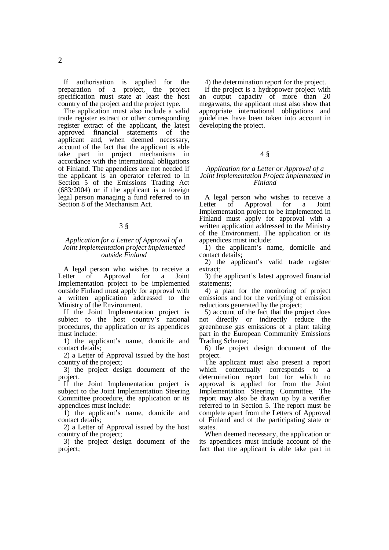If authorisation is applied for the preparation of a project, the project specification must state at least the host country of the project and the project type.

The application must also include a valid trade register extract or other corresponding register extract of the applicant, the latest approved financial statements of the applicant and, when deemed necessary, account of the fact that the applicant is able take part in project mechanisms in accordance with the international obligations of Finland. The appendices are not needed if the applicant is an operator referred to in Section 5 of the Emissions Trading Act (683/2004) or if the applicant is a foreign legal person managing a fund referred to in Section 8 of the Mechanism Act.

# 3 §

#### *Application for a Letter of Approval of a Joint Implementation project implemented outside Finland*

A legal person who wishes to receive a Letter of Approval for a Joint Implementation project to be implemented outside Finland must apply for approval with a written application addressed to the Ministry of the Environment.

If the Joint Implementation project is subject to the host country's national procedures, the application or its appendices must include:

1) the applicant's name, domicile and contact details;

2) a Letter of Approval issued by the host country of the project;

3) the project design document of the project.

If the Joint Implementation project is subject to the Joint Implementation Steering Committee procedure, the application or its appendices must include:

1) the applicant's name, domicile and contact details;

2) a Letter of Approval issued by the host country of the project;

3) the project design document of the project;

4) the determination report for the project.

If the project is a hydropower project with an output capacity of more than 20 megawatts, the applicant must also show that appropriate international obligations and guidelines have been taken into account in developing the project.

## 4 §

#### *Application for a Letter or Approval of a Joint Implementation Project implemented in Finland*

A legal person who wishes to receive a Letter of Approval for a Joint Implementation project to be implemented in Finland must apply for approval with a written application addressed to the Ministry of the Environment. The application or its appendices must include:

1) the applicant's name, domicile and contact details;

2) the applicant's valid trade register extract;

3) the applicant's latest approved financial statements;

4) a plan for the monitoring of project emissions and for the verifying of emission reductions generated by the project;

5) account of the fact that the project does not directly or indirectly reduce the greenhouse gas emissions of a plant taking part in the European Community Emissions Trading Scheme;

6) the project design document of the project.

The applicant must also present a report which contextually corresponds to a determination report but for which no approval is applied for from the Joint Implementation Steering Committee. The report may also be drawn up by a verifier referred to in Section 5. The report must be complete apart from the Letters of Approval of Finland and of the participating state or states.

When deemed necessary, the application or its appendices must include account of the fact that the applicant is able take part in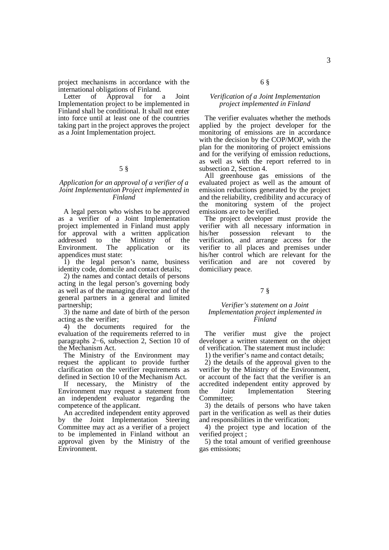project mechanisms in accordance with the international obligations of Finland.

Letter of Approval for a Joint Implementation project to be implemented in Finland shall be conditional. It shall not enter into force until at least one of the countries taking part in the project approves the project as a Joint Implementation project.

# 5 §

# *Application for an approval of a verifier of a Joint Implementation Project implemented in Finland*

A legal person who wishes to be approved as a verifier of a Joint Implementation project implemented in Finland must apply for approval with a written application addressed to the Ministry of the<br>Environment. The application or its Environment. The application or its appendices must state:

1) the legal person's name, business identity code, domicile and contact details;

2) the names and contact details of persons acting in the legal person's governing body as well as of the managing director and of the general partners in a general and limited partnership;

3) the name and date of birth of the person acting as the verifier;

4) the documents required for the evaluation of the requirements referred to in paragraphs  $2-6$ , subsection 2, Section 10 of the Mechanism Act.

The Ministry of the Environment may request the applicant to provide further clarification on the verifier requirements as defined in Section 10 of the Mechanism Act.

If necessary, the Ministry of the Environment may request a statement from an independent evaluator regarding the competence of the applicant.

An accredited independent entity approved by the Joint Implementation Steering Committee may act as a verifier of a project to be implemented in Finland without an approval given by the Ministry of the Environment.

#### 6 §

# *Verification of a Joint Implementation project implemented in Finland*

The verifier evaluates whether the methods applied by the project developer for the monitoring of emissions are in accordance with the decision by the COP/MOP, with the plan for the monitoring of project emissions and for the verifying of emission reductions, as well as with the report referred to in subsection 2, Section 4.

All greenhouse gas emissions of the evaluated project as well as the amount of emission reductions generated by the project and the reliability, credibility and accuracy of the monitoring system of the project emissions are to be verified.

The project developer must provide the verifier with all necessary information in his/her possession relevant to the verification, and arrange access for the verifier to all places and premises under his/her control which are relevant for the verification and are not covered by domiciliary peace.

# 7 §

#### *Verifier's statement on a Joint Implementation project implemented in Finland*

The verifier must give the project developer a written statement on the object of verification. The statement must include:

1) the verifier's name and contact details;

2) the details of the approval given to the verifier by the Ministry of the Environment, or account of the fact that the verifier is an accredited independent entity approved by the Joint Implementation Steering Committee;

3) the details of persons who have taken part in the verification as well as their duties and responsibilities in the verification;

4) the project type and location of the verified project ;

5) the total amount of verified greenhouse gas emissions;